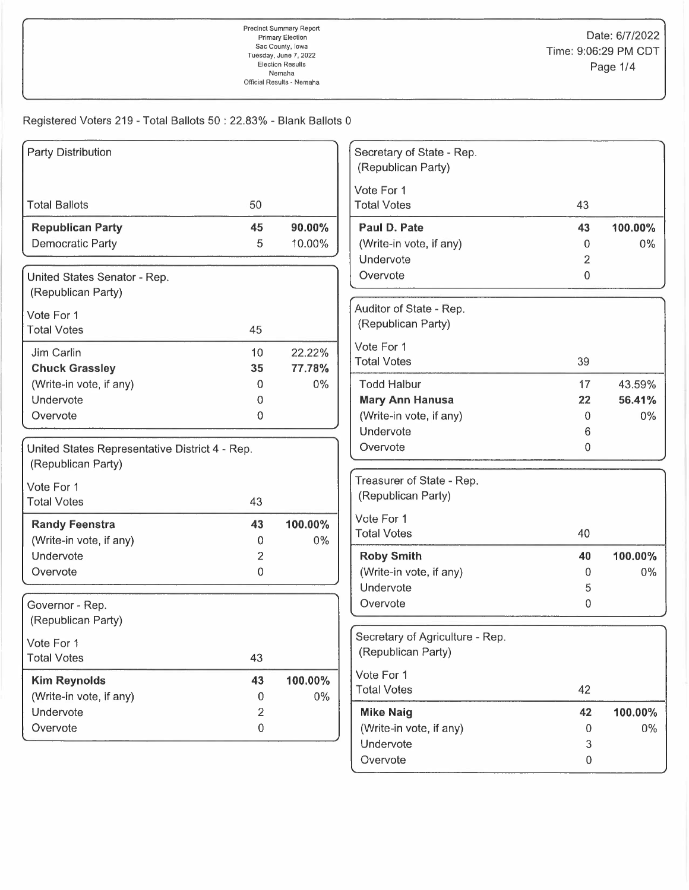| Party Distribution                             |         | Secretary of State - Rep.                    |    |         |
|------------------------------------------------|---------|----------------------------------------------|----|---------|
|                                                |         | (Republican Party)                           |    |         |
|                                                |         | Vote For 1                                   |    |         |
| <b>Total Ballots</b><br>50                     |         | <b>Total Votes</b>                           | 43 |         |
| 45<br><b>Republican Party</b>                  | 90.00%  | Paul D. Pate                                 | 43 | 100.00% |
| <b>Democratic Party</b><br>5                   | 10.00%  | (Write-in vote, if any)                      | 0  | $0\%$   |
|                                                |         | Undervote                                    | 2  |         |
| United States Senator - Rep.                   |         | Overvote                                     | 0  |         |
| (Republican Party)                             |         |                                              |    |         |
| Vote For 1                                     |         | Auditor of State - Rep.                      |    |         |
| <b>Total Votes</b><br>45                       |         | (Republican Party)                           |    |         |
| Jim Carlin<br>10                               | 22.22%  | Vote For 1                                   |    |         |
| <b>Chuck Grassley</b><br>35                    | 77.78%  | <b>Total Votes</b>                           | 39 |         |
| (Write-in vote, if any)<br>$\Omega$            | $0\%$   | <b>Todd Halbur</b>                           | 17 | 43.59%  |
| Undervote<br>0                                 |         | <b>Mary Ann Hanusa</b>                       | 22 | 56.41%  |
| $\mathbf 0$<br>Overvote                        |         | (Write-in vote, if any)                      | 0  | $0\%$   |
|                                                |         | Undervote                                    | 6  |         |
| United States Representative District 4 - Rep. |         | Overvote                                     | 0  |         |
| (Republican Party)                             |         |                                              |    |         |
| Vote For 1                                     |         | Treasurer of State - Rep.                    |    |         |
| 43<br><b>Total Votes</b>                       |         | (Republican Party)                           |    |         |
|                                                |         | Vote For 1                                   |    |         |
| <b>Randy Feenstra</b><br>43                    | 100.00% | <b>Total Votes</b>                           | 40 |         |
| (Write-in vote, if any)<br>0<br>Undervote      | 0%      |                                              | 40 | 100.00% |
| $\overline{c}$<br>Overvote<br>0                |         | <b>Roby Smith</b><br>(Write-in vote, if any) | 0  | $0\%$   |
|                                                |         | Undervote                                    | 5  |         |
|                                                |         | Overvote                                     | 0  |         |
| Governor - Rep.<br>(Republican Party)          |         |                                              |    |         |
|                                                |         | Secretary of Agriculture - Rep.              |    |         |
| Vote For 1                                     |         | (Republican Party)                           |    |         |
| 43<br><b>Total Votes</b>                       |         |                                              |    |         |
| <b>Kim Reynolds</b><br>43                      | 100.00% | Vote For 1                                   |    |         |
| (Write-in vote, if any)<br>0                   | $0\%$   | <b>Total Votes</b>                           | 42 |         |
| Undervote                                      | 2       | <b>Mike Naig</b>                             | 42 | 100.00% |
| Overvote<br>$\,0\,$                            |         | (Write-in vote, if any)                      | 0  | $0\%$   |
|                                                |         | Undervote                                    | 3  |         |
|                                                |         | Overvote                                     | 0  |         |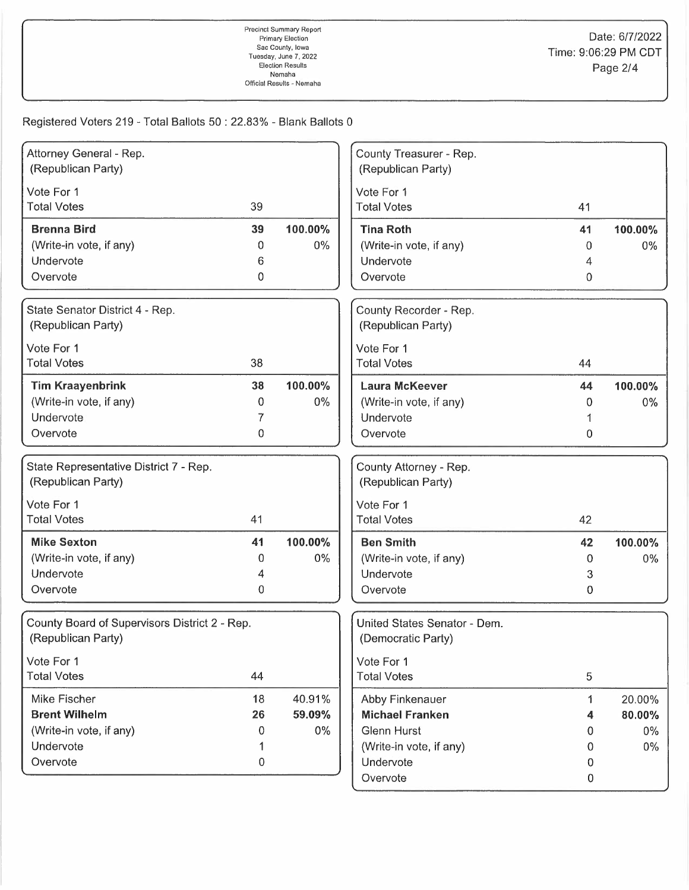| Attorney General - Rep.                       |           |         | County Treasurer - Rep.      |                  |         |
|-----------------------------------------------|-----------|---------|------------------------------|------------------|---------|
| (Republican Party)                            |           |         | (Republican Party)           |                  |         |
| Vote For 1                                    |           |         | Vote For 1                   |                  |         |
| <b>Total Votes</b>                            | 39        |         | <b>Total Votes</b>           | 41               |         |
|                                               |           |         |                              |                  |         |
| <b>Brenna Bird</b>                            | 39        | 100.00% | <b>Tina Roth</b>             | 41               | 100.00% |
| (Write-in vote, if any)                       | 0         | $0\%$   | (Write-in vote, if any)      | 0                | 0%      |
| Undervote                                     | 6         |         | Undervote                    | 4                |         |
| Overvote                                      | 0         |         | Overvote                     | 0                |         |
| State Senator District 4 - Rep.               |           |         | County Recorder - Rep.       |                  |         |
| (Republican Party)                            |           |         | (Republican Party)           |                  |         |
| Vote For 1                                    |           |         | Vote For 1                   |                  |         |
| <b>Total Votes</b>                            | 38        |         | <b>Total Votes</b>           | 44               |         |
|                                               |           |         |                              |                  |         |
| <b>Tim Kraayenbrink</b>                       | 38        | 100.00% | <b>Laura McKeever</b>        | 44               | 100.00% |
| (Write-in vote, if any)                       | 0         | $0\%$   | (Write-in vote, if any)      | 0                | $0\%$   |
| Undervote                                     | 7         |         | Undervote                    |                  |         |
| Overvote                                      | 0         |         | Overvote                     | 0                |         |
| State Representative District 7 - Rep.        |           |         | County Attorney - Rep.       |                  |         |
| (Republican Party)                            |           |         | (Republican Party)           |                  |         |
|                                               |           |         |                              |                  |         |
| Vote For 1                                    |           |         | Vote For 1                   |                  |         |
| <b>Total Votes</b>                            | 41        |         | <b>Total Votes</b>           | 42               |         |
| <b>Mike Sexton</b>                            | 41        | 100.00% | <b>Ben Smith</b>             | 42               | 100.00% |
| (Write-in vote, if any)                       | 0         | 0%      | (Write-in vote, if any)      | 0                | 0%      |
| Undervote                                     | 4         |         | Undervote                    | 3                |         |
| Overvote                                      | 0         |         | Overvote                     | 0                |         |
| County Board of Supervisors District 2 - Rep. |           |         | United States Senator - Dem. |                  |         |
| (Republican Party)                            |           |         | (Democratic Party)           |                  |         |
|                                               |           |         |                              |                  |         |
| Vote For 1                                    |           |         | Vote For 1                   |                  |         |
| <b>Total Votes</b>                            | 44        |         | <b>Total Votes</b>           | 5                |         |
| Mike Fischer                                  | 18        | 40.91%  | Abby Finkenauer              | 1                | 20.00%  |
| <b>Brent Wilhelm</b>                          | 26        | 59.09%  | <b>Michael Franken</b>       | 4                | 80.00%  |
| (Write-in vote, if any)                       | 0         | $0\%$   | <b>Glenn Hurst</b>           | 0                | $0\%$   |
| Undervote                                     |           |         | (Write-in vote, if any)      | 0                | $0\%$   |
| Overvote                                      | $\pmb{0}$ |         | Undervote                    | 0                |         |
|                                               |           |         | Overvote                     | $\boldsymbol{0}$ |         |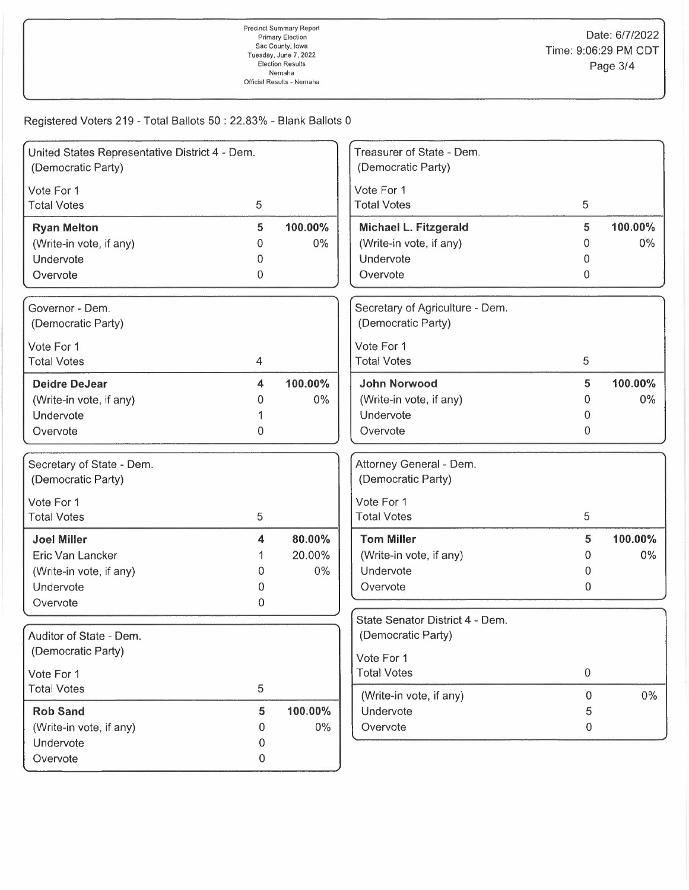| Treasurer of State - Dem.<br>United States Representative District 4 - Dem.<br>(Democratic Party)<br>(Democratic Party)<br>Vote For 1<br>Vote For 1<br>5<br><b>Total Votes</b><br>5<br><b>Total Votes</b><br>5<br>100.00%<br>Michael L. Fitzgerald<br>5<br>100.00%<br><b>Ryan Melton</b><br>(Write-in vote, if any)<br>(Write-in vote, if any)<br>$0\%$<br>$0\%$<br>0<br>0<br>Undervote<br>Undervote<br>0<br>0<br>0<br>0<br>Overvote<br>Overvote<br>Governor - Dem.<br>Secretary of Agriculture - Dem.<br>(Democratic Party)<br>(Democratic Party)<br>Vote For 1<br>Vote For 1<br><b>Total Votes</b><br>5<br><b>Total Votes</b><br>4<br>100.00%<br><b>John Norwood</b><br>5<br>100.00%<br><b>Deidre DeJear</b><br>4<br>(Write-in vote, if any)<br>$0\%$<br>$0\%$<br>(Write-in vote, if any)<br>0<br>0<br>Undervote<br>Undervote<br>0<br>0<br>Overvote<br>$\mathbf{0}$<br>Overvote<br>Attorney General - Dem.<br>Secretary of State - Dem.<br>(Democratic Party)<br>(Democratic Party)<br>Vote For 1<br>Vote For 1<br>5<br>5<br><b>Total Votes</b><br><b>Total Votes</b><br>80.00%<br><b>Tom Miller</b><br>5<br>100.00%<br><b>Joel Miller</b><br>4<br>20.00%<br>(Write-in vote, if any)<br>$0\%$<br>Eric Van Lancker<br>0<br>$0\%$<br>Undervote<br>(Write-in vote, if any)<br>0<br>0<br>Undervote<br>Overvote<br>0<br>0<br>Overvote<br>0<br>State Senator District 4 - Dem.<br>Auditor of State - Dem.<br>(Democratic Party)<br>(Democratic Party)<br>Vote For 1<br><b>Total Votes</b><br>$\boldsymbol{0}$<br>Vote For 1<br>5<br><b>Total Votes</b><br>(Write-in vote, if any)<br>0<br>$0\%$ |          |   |  |  |
|---------------------------------------------------------------------------------------------------------------------------------------------------------------------------------------------------------------------------------------------------------------------------------------------------------------------------------------------------------------------------------------------------------------------------------------------------------------------------------------------------------------------------------------------------------------------------------------------------------------------------------------------------------------------------------------------------------------------------------------------------------------------------------------------------------------------------------------------------------------------------------------------------------------------------------------------------------------------------------------------------------------------------------------------------------------------------------------------------------------------------------------------------------------------------------------------------------------------------------------------------------------------------------------------------------------------------------------------------------------------------------------------------------------------------------------------------------------------------------------------------------------------------------------------------------------------------------------------|----------|---|--|--|
|                                                                                                                                                                                                                                                                                                                                                                                                                                                                                                                                                                                                                                                                                                                                                                                                                                                                                                                                                                                                                                                                                                                                                                                                                                                                                                                                                                                                                                                                                                                                                                                             |          |   |  |  |
|                                                                                                                                                                                                                                                                                                                                                                                                                                                                                                                                                                                                                                                                                                                                                                                                                                                                                                                                                                                                                                                                                                                                                                                                                                                                                                                                                                                                                                                                                                                                                                                             |          |   |  |  |
|                                                                                                                                                                                                                                                                                                                                                                                                                                                                                                                                                                                                                                                                                                                                                                                                                                                                                                                                                                                                                                                                                                                                                                                                                                                                                                                                                                                                                                                                                                                                                                                             |          |   |  |  |
|                                                                                                                                                                                                                                                                                                                                                                                                                                                                                                                                                                                                                                                                                                                                                                                                                                                                                                                                                                                                                                                                                                                                                                                                                                                                                                                                                                                                                                                                                                                                                                                             |          |   |  |  |
|                                                                                                                                                                                                                                                                                                                                                                                                                                                                                                                                                                                                                                                                                                                                                                                                                                                                                                                                                                                                                                                                                                                                                                                                                                                                                                                                                                                                                                                                                                                                                                                             |          |   |  |  |
|                                                                                                                                                                                                                                                                                                                                                                                                                                                                                                                                                                                                                                                                                                                                                                                                                                                                                                                                                                                                                                                                                                                                                                                                                                                                                                                                                                                                                                                                                                                                                                                             |          |   |  |  |
|                                                                                                                                                                                                                                                                                                                                                                                                                                                                                                                                                                                                                                                                                                                                                                                                                                                                                                                                                                                                                                                                                                                                                                                                                                                                                                                                                                                                                                                                                                                                                                                             |          |   |  |  |
|                                                                                                                                                                                                                                                                                                                                                                                                                                                                                                                                                                                                                                                                                                                                                                                                                                                                                                                                                                                                                                                                                                                                                                                                                                                                                                                                                                                                                                                                                                                                                                                             |          |   |  |  |
|                                                                                                                                                                                                                                                                                                                                                                                                                                                                                                                                                                                                                                                                                                                                                                                                                                                                                                                                                                                                                                                                                                                                                                                                                                                                                                                                                                                                                                                                                                                                                                                             |          |   |  |  |
|                                                                                                                                                                                                                                                                                                                                                                                                                                                                                                                                                                                                                                                                                                                                                                                                                                                                                                                                                                                                                                                                                                                                                                                                                                                                                                                                                                                                                                                                                                                                                                                             |          |   |  |  |
|                                                                                                                                                                                                                                                                                                                                                                                                                                                                                                                                                                                                                                                                                                                                                                                                                                                                                                                                                                                                                                                                                                                                                                                                                                                                                                                                                                                                                                                                                                                                                                                             |          |   |  |  |
|                                                                                                                                                                                                                                                                                                                                                                                                                                                                                                                                                                                                                                                                                                                                                                                                                                                                                                                                                                                                                                                                                                                                                                                                                                                                                                                                                                                                                                                                                                                                                                                             |          |   |  |  |
|                                                                                                                                                                                                                                                                                                                                                                                                                                                                                                                                                                                                                                                                                                                                                                                                                                                                                                                                                                                                                                                                                                                                                                                                                                                                                                                                                                                                                                                                                                                                                                                             |          |   |  |  |
|                                                                                                                                                                                                                                                                                                                                                                                                                                                                                                                                                                                                                                                                                                                                                                                                                                                                                                                                                                                                                                                                                                                                                                                                                                                                                                                                                                                                                                                                                                                                                                                             |          |   |  |  |
|                                                                                                                                                                                                                                                                                                                                                                                                                                                                                                                                                                                                                                                                                                                                                                                                                                                                                                                                                                                                                                                                                                                                                                                                                                                                                                                                                                                                                                                                                                                                                                                             |          |   |  |  |
|                                                                                                                                                                                                                                                                                                                                                                                                                                                                                                                                                                                                                                                                                                                                                                                                                                                                                                                                                                                                                                                                                                                                                                                                                                                                                                                                                                                                                                                                                                                                                                                             |          |   |  |  |
|                                                                                                                                                                                                                                                                                                                                                                                                                                                                                                                                                                                                                                                                                                                                                                                                                                                                                                                                                                                                                                                                                                                                                                                                                                                                                                                                                                                                                                                                                                                                                                                             |          |   |  |  |
|                                                                                                                                                                                                                                                                                                                                                                                                                                                                                                                                                                                                                                                                                                                                                                                                                                                                                                                                                                                                                                                                                                                                                                                                                                                                                                                                                                                                                                                                                                                                                                                             |          |   |  |  |
|                                                                                                                                                                                                                                                                                                                                                                                                                                                                                                                                                                                                                                                                                                                                                                                                                                                                                                                                                                                                                                                                                                                                                                                                                                                                                                                                                                                                                                                                                                                                                                                             |          |   |  |  |
|                                                                                                                                                                                                                                                                                                                                                                                                                                                                                                                                                                                                                                                                                                                                                                                                                                                                                                                                                                                                                                                                                                                                                                                                                                                                                                                                                                                                                                                                                                                                                                                             |          |   |  |  |
|                                                                                                                                                                                                                                                                                                                                                                                                                                                                                                                                                                                                                                                                                                                                                                                                                                                                                                                                                                                                                                                                                                                                                                                                                                                                                                                                                                                                                                                                                                                                                                                             |          |   |  |  |
|                                                                                                                                                                                                                                                                                                                                                                                                                                                                                                                                                                                                                                                                                                                                                                                                                                                                                                                                                                                                                                                                                                                                                                                                                                                                                                                                                                                                                                                                                                                                                                                             |          |   |  |  |
|                                                                                                                                                                                                                                                                                                                                                                                                                                                                                                                                                                                                                                                                                                                                                                                                                                                                                                                                                                                                                                                                                                                                                                                                                                                                                                                                                                                                                                                                                                                                                                                             |          |   |  |  |
|                                                                                                                                                                                                                                                                                                                                                                                                                                                                                                                                                                                                                                                                                                                                                                                                                                                                                                                                                                                                                                                                                                                                                                                                                                                                                                                                                                                                                                                                                                                                                                                             |          |   |  |  |
|                                                                                                                                                                                                                                                                                                                                                                                                                                                                                                                                                                                                                                                                                                                                                                                                                                                                                                                                                                                                                                                                                                                                                                                                                                                                                                                                                                                                                                                                                                                                                                                             |          |   |  |  |
|                                                                                                                                                                                                                                                                                                                                                                                                                                                                                                                                                                                                                                                                                                                                                                                                                                                                                                                                                                                                                                                                                                                                                                                                                                                                                                                                                                                                                                                                                                                                                                                             |          |   |  |  |
|                                                                                                                                                                                                                                                                                                                                                                                                                                                                                                                                                                                                                                                                                                                                                                                                                                                                                                                                                                                                                                                                                                                                                                                                                                                                                                                                                                                                                                                                                                                                                                                             |          |   |  |  |
|                                                                                                                                                                                                                                                                                                                                                                                                                                                                                                                                                                                                                                                                                                                                                                                                                                                                                                                                                                                                                                                                                                                                                                                                                                                                                                                                                                                                                                                                                                                                                                                             |          |   |  |  |
|                                                                                                                                                                                                                                                                                                                                                                                                                                                                                                                                                                                                                                                                                                                                                                                                                                                                                                                                                                                                                                                                                                                                                                                                                                                                                                                                                                                                                                                                                                                                                                                             |          |   |  |  |
|                                                                                                                                                                                                                                                                                                                                                                                                                                                                                                                                                                                                                                                                                                                                                                                                                                                                                                                                                                                                                                                                                                                                                                                                                                                                                                                                                                                                                                                                                                                                                                                             |          |   |  |  |
|                                                                                                                                                                                                                                                                                                                                                                                                                                                                                                                                                                                                                                                                                                                                                                                                                                                                                                                                                                                                                                                                                                                                                                                                                                                                                                                                                                                                                                                                                                                                                                                             |          |   |  |  |
|                                                                                                                                                                                                                                                                                                                                                                                                                                                                                                                                                                                                                                                                                                                                                                                                                                                                                                                                                                                                                                                                                                                                                                                                                                                                                                                                                                                                                                                                                                                                                                                             |          |   |  |  |
|                                                                                                                                                                                                                                                                                                                                                                                                                                                                                                                                                                                                                                                                                                                                                                                                                                                                                                                                                                                                                                                                                                                                                                                                                                                                                                                                                                                                                                                                                                                                                                                             |          |   |  |  |
| 100.00%<br><b>Rob Sand</b><br>5<br>Undervote<br>5                                                                                                                                                                                                                                                                                                                                                                                                                                                                                                                                                                                                                                                                                                                                                                                                                                                                                                                                                                                                                                                                                                                                                                                                                                                                                                                                                                                                                                                                                                                                           |          |   |  |  |
| $0\%$<br>Overvote<br>(Write-in vote, if any)<br>$\boldsymbol{0}$<br>0                                                                                                                                                                                                                                                                                                                                                                                                                                                                                                                                                                                                                                                                                                                                                                                                                                                                                                                                                                                                                                                                                                                                                                                                                                                                                                                                                                                                                                                                                                                       |          |   |  |  |
| Undervote<br>0                                                                                                                                                                                                                                                                                                                                                                                                                                                                                                                                                                                                                                                                                                                                                                                                                                                                                                                                                                                                                                                                                                                                                                                                                                                                                                                                                                                                                                                                                                                                                                              |          |   |  |  |
|                                                                                                                                                                                                                                                                                                                                                                                                                                                                                                                                                                                                                                                                                                                                                                                                                                                                                                                                                                                                                                                                                                                                                                                                                                                                                                                                                                                                                                                                                                                                                                                             | Overvote | 0 |  |  |
|                                                                                                                                                                                                                                                                                                                                                                                                                                                                                                                                                                                                                                                                                                                                                                                                                                                                                                                                                                                                                                                                                                                                                                                                                                                                                                                                                                                                                                                                                                                                                                                             |          |   |  |  |